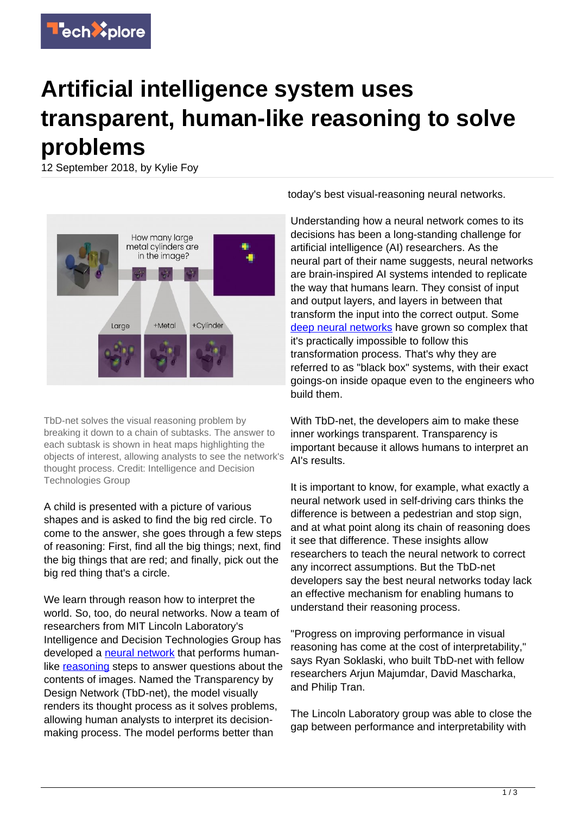

## **Artificial intelligence system uses transparent, human-like reasoning to solve problems**

12 September 2018, by Kylie Foy



TbD-net solves the visual reasoning problem by breaking it down to a chain of subtasks. The answer to each subtask is shown in heat maps highlighting the objects of interest, allowing analysts to see the network's thought process. Credit: Intelligence and Decision Technologies Group

A child is presented with a picture of various shapes and is asked to find the big red circle. To come to the answer, she goes through a few steps of reasoning: First, find all the big things; next, find the big things that are red; and finally, pick out the big red thing that's a circle.

We learn through reason how to interpret the world. So, too, do neural networks. Now a team of researchers from MIT Lincoln Laboratory's Intelligence and Decision Technologies Group has developed a [neural network](https://techxplore.com/tags/neural+network/) that performs humanlike [reasoning](https://techxplore.com/tags/reasoning/) steps to answer questions about the contents of images. Named the Transparency by Design Network (TbD-net), the model visually renders its thought process as it solves problems, allowing human analysts to interpret its decisionmaking process. The model performs better than

today's best visual-reasoning neural networks.

Understanding how a neural network comes to its decisions has been a long-standing challenge for artificial intelligence (AI) researchers. As the neural part of their name suggests, neural networks are brain-inspired AI systems intended to replicate the way that humans learn. They consist of input and output layers, and layers in between that transform the input into the correct output. Some [deep neural networks](https://techxplore.com/tags/deep+neural+networks/) have grown so complex that it's practically impossible to follow this transformation process. That's why they are referred to as "black box" systems, with their exact goings-on inside opaque even to the engineers who build them.

With TbD-net, the developers aim to make these inner workings transparent. Transparency is important because it allows humans to interpret an AI's results.

It is important to know, for example, what exactly a neural network used in self-driving cars thinks the difference is between a pedestrian and stop sign, and at what point along its chain of reasoning does it see that difference. These insights allow researchers to teach the neural network to correct any incorrect assumptions. But the TbD-net developers say the best neural networks today lack an effective mechanism for enabling humans to understand their reasoning process.

"Progress on improving performance in visual reasoning has come at the cost of interpretability," says Ryan Soklaski, who built TbD-net with fellow researchers Arjun Majumdar, David Mascharka, and Philip Tran.

The Lincoln Laboratory group was able to close the gap between performance and interpretability with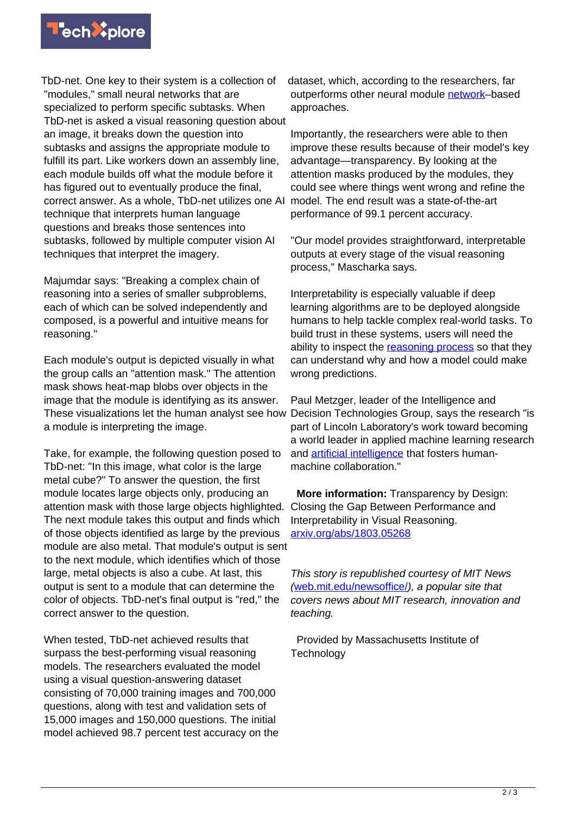

TbD-net. One key to their system is a collection of "modules," small neural networks that are specialized to perform specific subtasks. When TbD-net is asked a visual reasoning question about an image, it breaks down the question into subtasks and assigns the appropriate module to fulfill its part. Like workers down an assembly line, each module builds off what the module before it has figured out to eventually produce the final, correct answer. As a whole, TbD-net utilizes one AI technique that interprets human language questions and breaks those sentences into subtasks, followed by multiple computer vision AI techniques that interpret the imagery.

Majumdar says: "Breaking a complex chain of reasoning into a series of smaller subproblems, each of which can be solved independently and composed, is a powerful and intuitive means for reasoning."

Each module's output is depicted visually in what the group calls an "attention mask." The attention mask shows heat-map blobs over objects in the image that the module is identifying as its answer. These visualizations let the human analyst see how a module is interpreting the image.

Take, for example, the following question posed to TbD-net: "In this image, what color is the large metal cube?" To answer the question, the first module locates large objects only, producing an attention mask with those large objects highlighted. The next module takes this output and finds which of those objects identified as large by the previous module are also metal. That module's output is sent to the next module, which identifies which of those large, metal objects is also a cube. At last, this output is sent to a module that can determine the color of objects. TbD-net's final output is "red," the correct answer to the question.

When tested, TbD-net achieved results that surpass the best-performing visual reasoning models. The researchers evaluated the model using a visual question-answering dataset consisting of 70,000 training images and 700,000 questions, along with test and validation sets of 15,000 images and 150,000 questions. The initial model achieved 98.7 percent test accuracy on the dataset, which, according to the researchers, far outperforms other neural module [network–](https://techxplore.com/tags/network/)based approaches.

Importantly, the researchers were able to then improve these results because of their model's key advantage—transparency. By looking at the attention masks produced by the modules, they could see where things went wrong and refine the model. The end result was a state-of-the-art performance of 99.1 percent accuracy.

"Our model provides straightforward, interpretable outputs at every stage of the visual reasoning process," Mascharka says.

Interpretability is especially valuable if deep learning algorithms are to be deployed alongside humans to help tackle complex real-world tasks. To build trust in these systems, users will need the ability to inspect the [reasoning process](https://techxplore.com/tags/reasoning+process/) so that they can understand why and how a model could make wrong predictions.

Paul Metzger, leader of the Intelligence and Decision Technologies Group, says the research "is part of Lincoln Laboratory's work toward becoming a world leader in applied machine learning research and [artificial intelligence](https://techxplore.com/tags/artificial+intelligence/) that fosters humanmachine collaboration."

 **More information:** Transparency by Design: Closing the Gap Between Performance and Interpretability in Visual Reasoning. [arxiv.org/abs/1803.05268](https://arxiv.org/abs/1803.05268)

This story is republished courtesy of MIT News ([web.mit.edu/newsoffice/](http://web.mit.edu/newsoffice/)), a popular site that covers news about MIT research, innovation and teaching.

 Provided by Massachusetts Institute of **Technology**